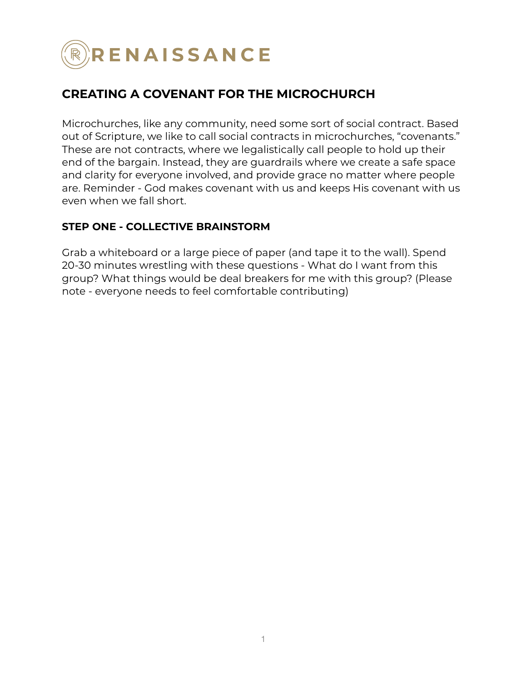

# **CREATING A COVENANT FOR THE MICROCHURCH**

Microchurches, like any community, need some sort of social contract. Based out of Scripture, we like to call social contracts in microchurches, "covenants." These are not contracts, where we legalistically call people to hold up their end of the bargain. Instead, they are guardrails where we create a safe space and clarity for everyone involved, and provide grace no matter where people are. Reminder - God makes covenant with us and keeps His covenant with us even when we fall short.

## **STEP ONE - COLLECTIVE BRAINSTORM**

Grab a whiteboard or a large piece of paper (and tape it to the wall). Spend 20-30 minutes wrestling with these questions - What do I want from this group? What things would be deal breakers for me with this group? (Please note - everyone needs to feel comfortable contributing)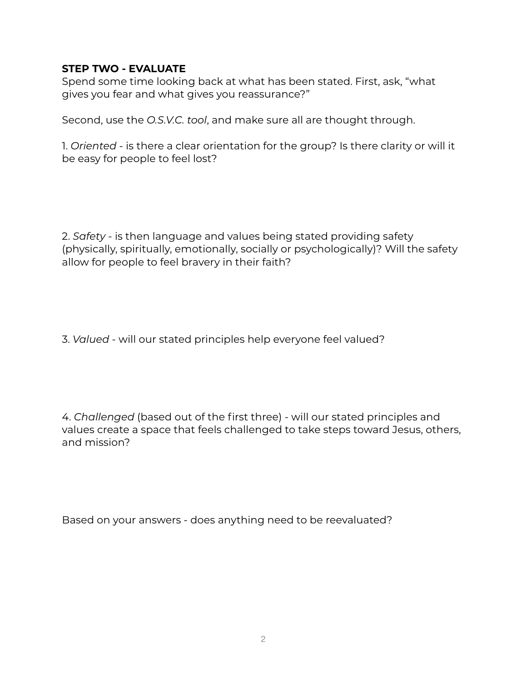#### **STEP TWO - EVALUATE**

Spend some time looking back at what has been stated. First, ask, "what gives you fear and what gives you reassurance?"

Second, use the *O.S.V.C. tool*, and make sure all are thought through.

1. *Oriented* - is there a clear orientation for the group? Is there clarity or will it be easy for people to feel lost?

2. *Safety* - is then language and values being stated providing safety (physically, spiritually, emotionally, socially or psychologically)? Will the safety allow for people to feel bravery in their faith?

3. *Valued* - will our stated principles help everyone feel valued?

4. *Challenged* (based out of the first three) - will our stated principles and values create a space that feels challenged to take steps toward Jesus, others, and mission?

Based on your answers - does anything need to be reevaluated?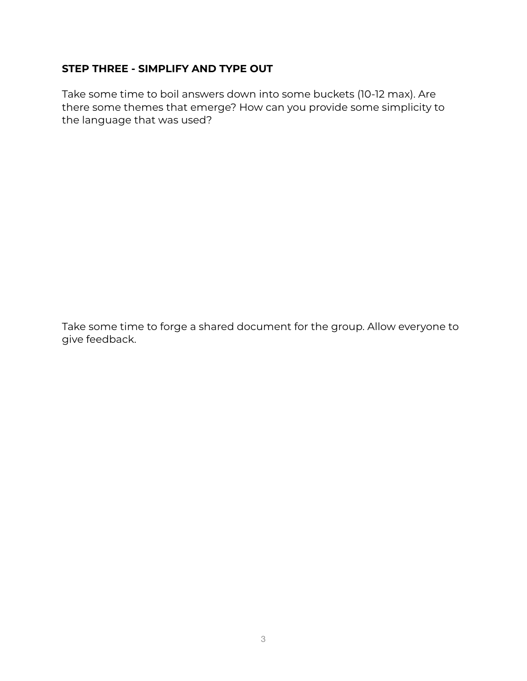## **STEP THREE - SIMPLIFY AND TYPE OUT**

Take some time to boil answers down into some buckets (10-12 max). Are there some themes that emerge? How can you provide some simplicity to the language that was used?

Take some time to forge a shared document for the group. Allow everyone to give feedback.